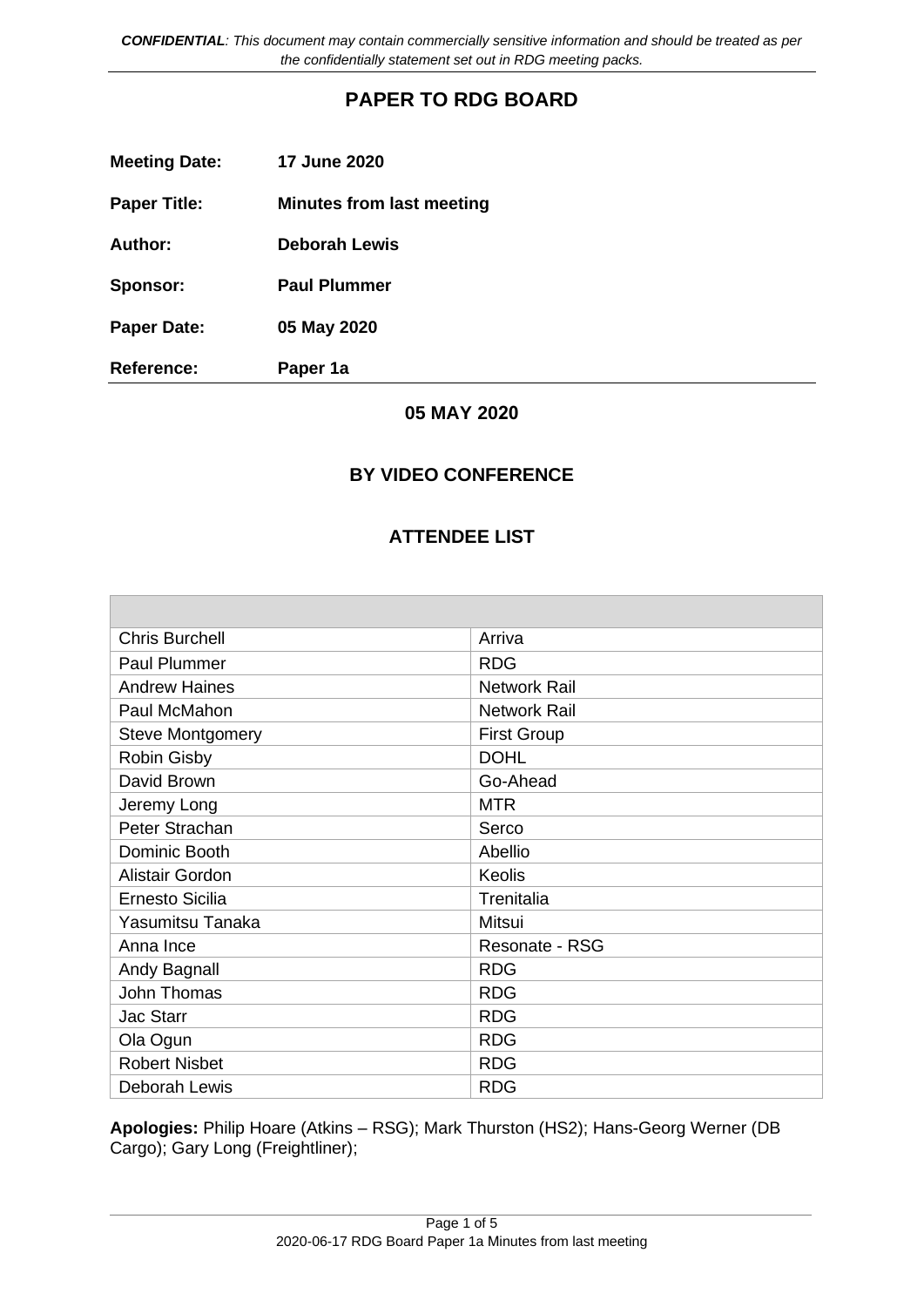*CONFIDENTIAL: This document may contain commercially sensitive information and should be treated as per the confidentially statement set out in RDG meeting packs.*

# **PAPER TO RDG BOARD**

| <b>Meeting Date:</b> | <b>17 June 2020</b>              |
|----------------------|----------------------------------|
| <b>Paper Title:</b>  | <b>Minutes from last meeting</b> |
| Author:              | <b>Deborah Lewis</b>             |
| Sponsor:             | <b>Paul Plummer</b>              |
| <b>Paper Date:</b>   | 05 May 2020                      |
| <b>Reference:</b>    | Paper 1a                         |

### **05 MAY 2020**

#### **BY VIDEO CONFERENCE**

#### **ATTENDEE LIST**

| <b>Chris Burchell</b>   | Arriva              |
|-------------------------|---------------------|
| Paul Plummer            | <b>RDG</b>          |
| <b>Andrew Haines</b>    | <b>Network Rail</b> |
| Paul McMahon            | <b>Network Rail</b> |
| <b>Steve Montgomery</b> | <b>First Group</b>  |
| <b>Robin Gisby</b>      | <b>DOHL</b>         |
| David Brown             | Go-Ahead            |
| Jeremy Long             | <b>MTR</b>          |
| Peter Strachan          | Serco               |
| Dominic Booth           | Abellio             |
| <b>Alistair Gordon</b>  | Keolis              |
| <b>Ernesto Sicilia</b>  | Trenitalia          |
| Yasumitsu Tanaka        | Mitsui              |
| Anna Ince               | Resonate - RSG      |
| Andy Bagnall            | <b>RDG</b>          |
| John Thomas             | <b>RDG</b>          |
| <b>Jac Starr</b>        | <b>RDG</b>          |
| Ola Ogun                | <b>RDG</b>          |
| <b>Robert Nisbet</b>    | <b>RDG</b>          |
| Deborah Lewis           | <b>RDG</b>          |

**Apologies:** Philip Hoare (Atkins – RSG); Mark Thurston (HS2); Hans-Georg Werner (DB Cargo); Gary Long (Freightliner);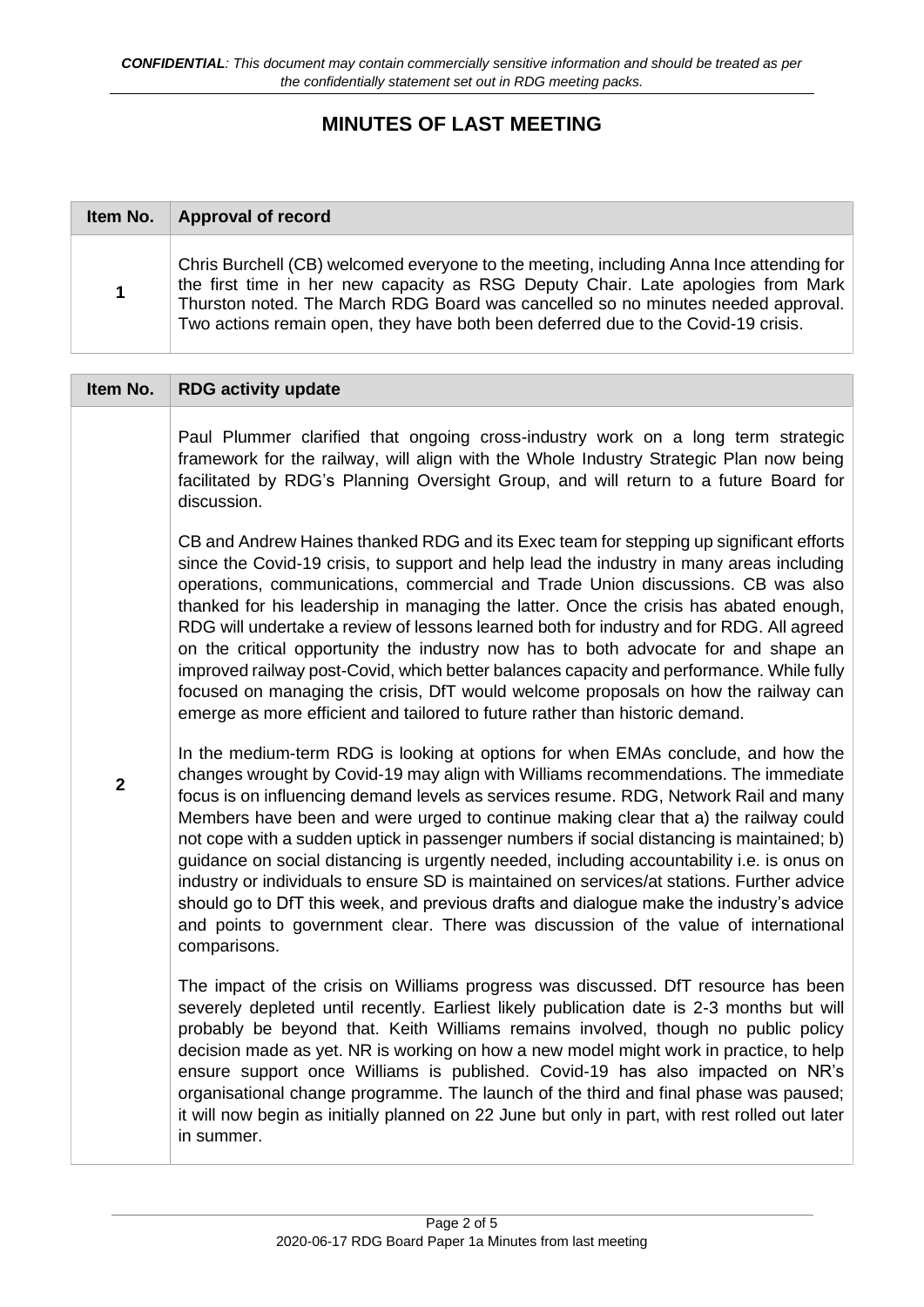# **MINUTES OF LAST MEETING**

| Item No.    | Approval of record                                                                                                                                                                                                                                                                                                                                   |
|-------------|------------------------------------------------------------------------------------------------------------------------------------------------------------------------------------------------------------------------------------------------------------------------------------------------------------------------------------------------------|
| $\mathbf 1$ | Chris Burchell (CB) welcomed everyone to the meeting, including Anna Ince attending for<br>the first time in her new capacity as RSG Deputy Chair. Late apologies from Mark<br>Thurston noted. The March RDG Board was cancelled so no minutes needed approval.<br>Two actions remain open, they have both been deferred due to the Covid-19 crisis. |

### **Item No. RDG activity update 2** Paul Plummer clarified that ongoing cross-industry work on a long term strategic framework for the railway, will align with the Whole Industry Strategic Plan now being facilitated by RDG's Planning Oversight Group, and will return to a future Board for discussion. CB and Andrew Haines thanked RDG and its Exec team for stepping up significant efforts since the Covid-19 crisis, to support and help lead the industry in many areas including operations, communications, commercial and Trade Union discussions. CB was also thanked for his leadership in managing the latter. Once the crisis has abated enough, RDG will undertake a review of lessons learned both for industry and for RDG. All agreed on the critical opportunity the industry now has to both advocate for and shape an improved railway post-Covid, which better balances capacity and performance. While fully focused on managing the crisis, DfT would welcome proposals on how the railway can emerge as more efficient and tailored to future rather than historic demand. In the medium-term RDG is looking at options for when EMAs conclude, and how the changes wrought by Covid-19 may align with Williams recommendations. The immediate focus is on influencing demand levels as services resume. RDG, Network Rail and many Members have been and were urged to continue making clear that a) the railway could not cope with a sudden uptick in passenger numbers if social distancing is maintained; b) guidance on social distancing is urgently needed, including accountability i.e. is onus on industry or individuals to ensure SD is maintained on services/at stations. Further advice should go to DfT this week, and previous drafts and dialogue make the industry's advice and points to government clear. There was discussion of the value of international comparisons. The impact of the crisis on Williams progress was discussed. DfT resource has been severely depleted until recently. Earliest likely publication date is 2-3 months but will probably be beyond that. Keith Williams remains involved, though no public policy decision made as yet. NR is working on how a new model might work in practice, to help ensure support once Williams is published. Covid-19 has also impacted on NR's organisational change programme. The launch of the third and final phase was paused; it will now begin as initially planned on 22 June but only in part, with rest rolled out later in summer.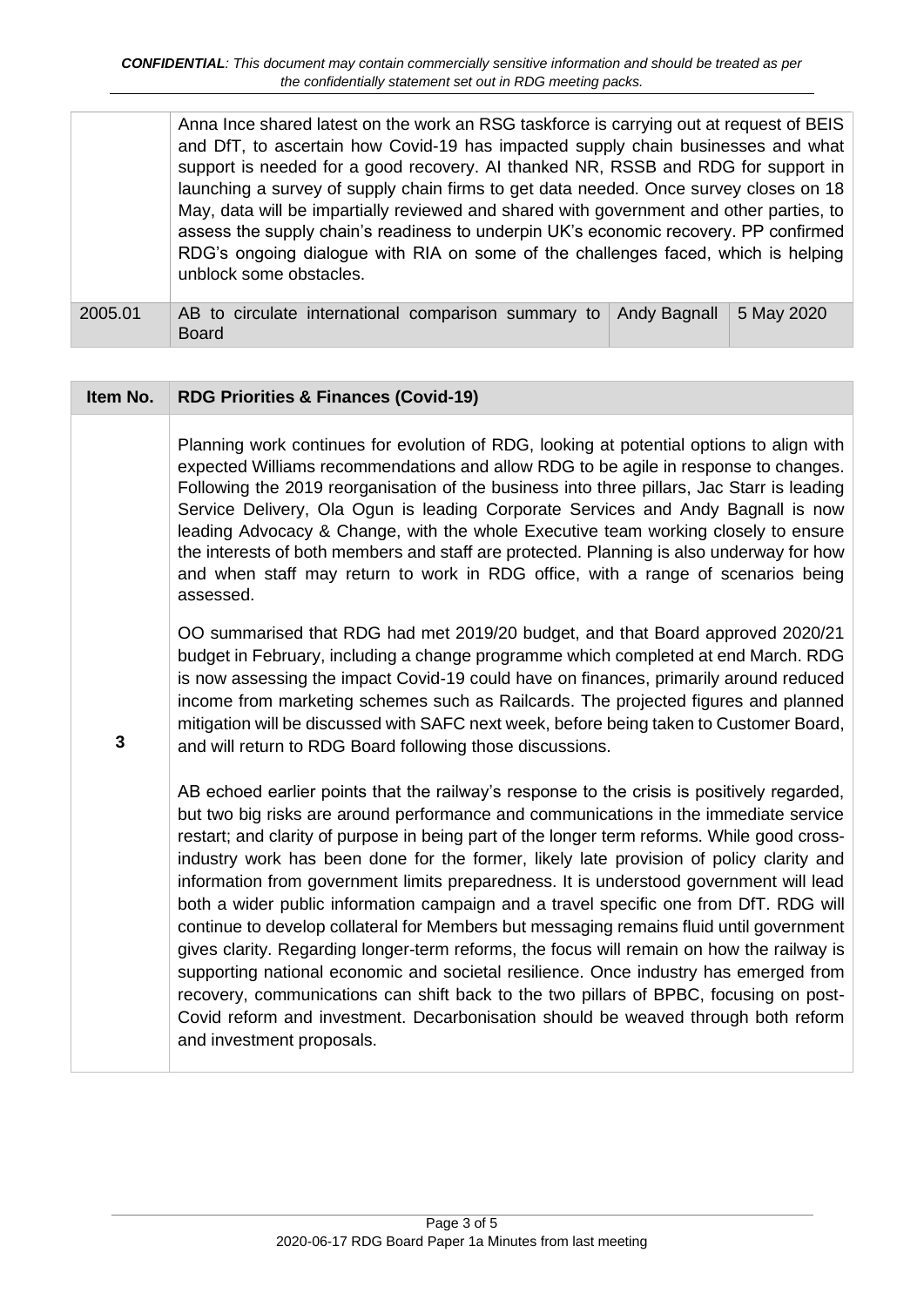Anna Ince shared latest on the work an RSG taskforce is carrying out at request of BEIS and DfT, to ascertain how Covid-19 has impacted supply chain businesses and what support is needed for a good recovery. AI thanked NR, RSSB and RDG for support in launching a survey of supply chain firms to get data needed. Once survey closes on 18 May, data will be impartially reviewed and shared with government and other parties, to assess the supply chain's readiness to underpin UK's economic recovery. PP confirmed RDG's ongoing dialogue with RIA on some of the challenges faced, which is helping unblock some obstacles.

2005.01 AB to circulate international comparison summary to Board Andy Bagnall  $\vert$  5 May 2020

| Item No.     | <b>RDG Priorities &amp; Finances (Covid-19)</b>                                                                                                                                                                                                                                                                                                                                                                                                                                                                                                                                                                                                                                                                                                                                                                                                                                                                                                                                                                                                            |
|--------------|------------------------------------------------------------------------------------------------------------------------------------------------------------------------------------------------------------------------------------------------------------------------------------------------------------------------------------------------------------------------------------------------------------------------------------------------------------------------------------------------------------------------------------------------------------------------------------------------------------------------------------------------------------------------------------------------------------------------------------------------------------------------------------------------------------------------------------------------------------------------------------------------------------------------------------------------------------------------------------------------------------------------------------------------------------|
|              | Planning work continues for evolution of RDG, looking at potential options to align with<br>expected Williams recommendations and allow RDG to be agile in response to changes.<br>Following the 2019 reorganisation of the business into three pillars, Jac Starr is leading<br>Service Delivery, Ola Ogun is leading Corporate Services and Andy Bagnall is now<br>leading Advocacy & Change, with the whole Executive team working closely to ensure<br>the interests of both members and staff are protected. Planning is also underway for how<br>and when staff may return to work in RDG office, with a range of scenarios being<br>assessed.                                                                                                                                                                                                                                                                                                                                                                                                       |
| $\mathbf{3}$ | OO summarised that RDG had met 2019/20 budget, and that Board approved 2020/21<br>budget in February, including a change programme which completed at end March. RDG<br>is now assessing the impact Covid-19 could have on finances, primarily around reduced<br>income from marketing schemes such as Railcards. The projected figures and planned<br>mitigation will be discussed with SAFC next week, before being taken to Customer Board,<br>and will return to RDG Board following those discussions.                                                                                                                                                                                                                                                                                                                                                                                                                                                                                                                                                |
|              | AB echoed earlier points that the railway's response to the crisis is positively regarded,<br>but two big risks are around performance and communications in the immediate service<br>restart; and clarity of purpose in being part of the longer term reforms. While good cross-<br>industry work has been done for the former, likely late provision of policy clarity and<br>information from government limits preparedness. It is understood government will lead<br>both a wider public information campaign and a travel specific one from DfT. RDG will<br>continue to develop collateral for Members but messaging remains fluid until government<br>gives clarity. Regarding longer-term reforms, the focus will remain on how the railway is<br>supporting national economic and societal resilience. Once industry has emerged from<br>recovery, communications can shift back to the two pillars of BPBC, focusing on post-<br>Covid reform and investment. Decarbonisation should be weaved through both reform<br>and investment proposals. |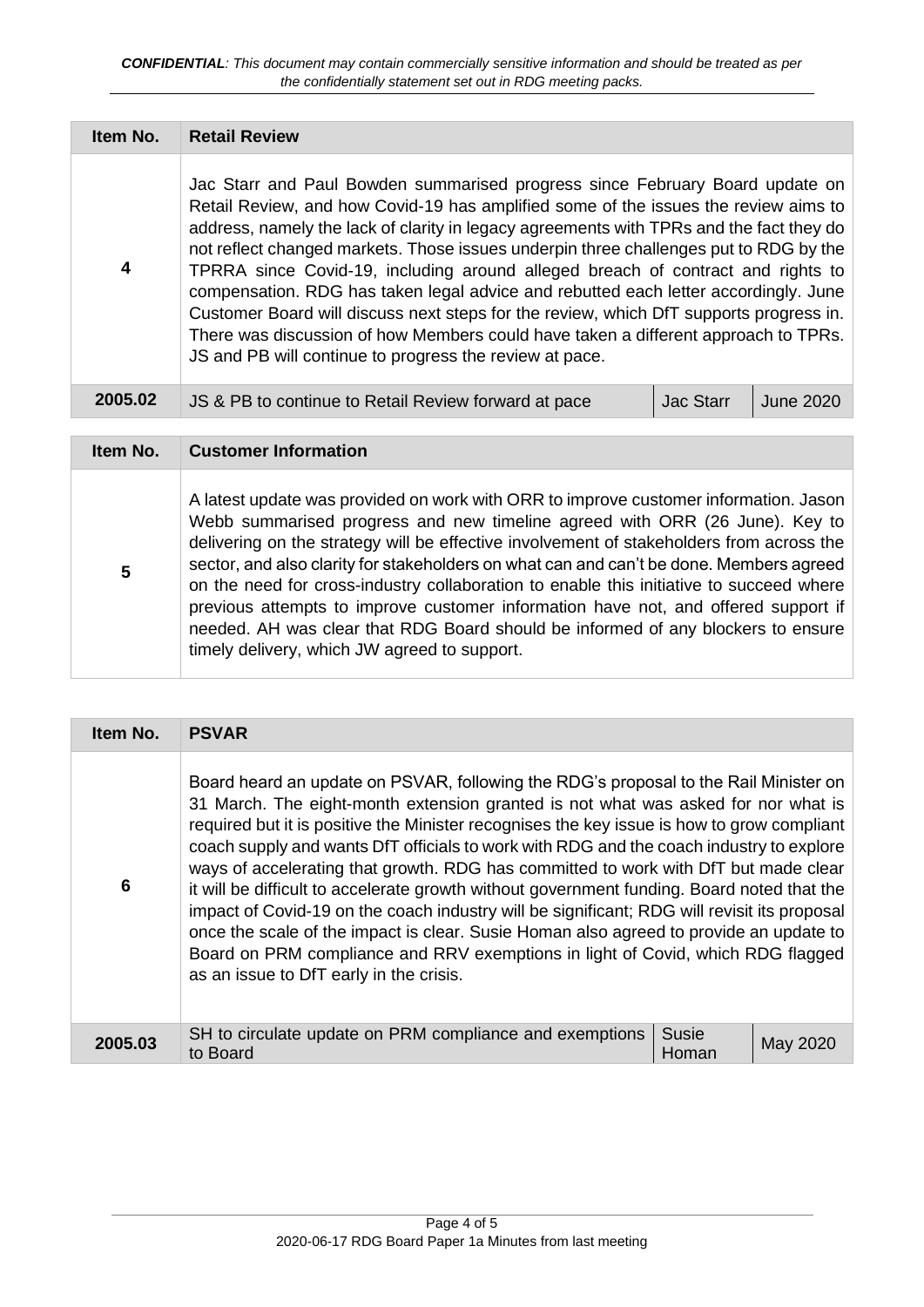| Item No. | <b>Retail Review</b>                                                                                                                                                                                                                                                                                                                                                                                                                                                                                                                                                                                                                                                                                                                                                         |                  |                  |
|----------|------------------------------------------------------------------------------------------------------------------------------------------------------------------------------------------------------------------------------------------------------------------------------------------------------------------------------------------------------------------------------------------------------------------------------------------------------------------------------------------------------------------------------------------------------------------------------------------------------------------------------------------------------------------------------------------------------------------------------------------------------------------------------|------------------|------------------|
| 4        | Jac Starr and Paul Bowden summarised progress since February Board update on<br>Retail Review, and how Covid-19 has amplified some of the issues the review aims to<br>address, namely the lack of clarity in legacy agreements with TPRs and the fact they do<br>not reflect changed markets. Those issues underpin three challenges put to RDG by the<br>TPRRA since Covid-19, including around alleged breach of contract and rights to<br>compensation. RDG has taken legal advice and rebutted each letter accordingly. June<br>Customer Board will discuss next steps for the review, which DfT supports progress in.<br>There was discussion of how Members could have taken a different approach to TPRs.<br>JS and PB will continue to progress the review at pace. |                  |                  |
| 2005.02  | JS & PB to continue to Retail Review forward at pace                                                                                                                                                                                                                                                                                                                                                                                                                                                                                                                                                                                                                                                                                                                         | <b>Jac Starr</b> | <b>June 2020</b> |

| Item No. | <b>Customer Information</b>                                                                                                                                                                                                                                                                                                                                                                                                                                                                                                                                                                                                                                                     |
|----------|---------------------------------------------------------------------------------------------------------------------------------------------------------------------------------------------------------------------------------------------------------------------------------------------------------------------------------------------------------------------------------------------------------------------------------------------------------------------------------------------------------------------------------------------------------------------------------------------------------------------------------------------------------------------------------|
| 5        | A latest update was provided on work with ORR to improve customer information. Jason<br>Webb summarised progress and new timeline agreed with ORR (26 June). Key to<br>delivering on the strategy will be effective involvement of stakeholders from across the<br>sector, and also clarity for stakeholders on what can and can't be done. Members agreed<br>on the need for cross-industry collaboration to enable this initiative to succeed where<br>previous attempts to improve customer information have not, and offered support if<br>needed. AH was clear that RDG Board should be informed of any blockers to ensure<br>timely delivery, which JW agreed to support. |

| Item No. | <b>PSVAR</b>                                                                                                                                                                                                                                                                                                                                                                                                                                                                                                                                                                                                                                                                                                                                                                                                                                                                   |                |          |
|----------|--------------------------------------------------------------------------------------------------------------------------------------------------------------------------------------------------------------------------------------------------------------------------------------------------------------------------------------------------------------------------------------------------------------------------------------------------------------------------------------------------------------------------------------------------------------------------------------------------------------------------------------------------------------------------------------------------------------------------------------------------------------------------------------------------------------------------------------------------------------------------------|----------------|----------|
| 6        | Board heard an update on PSVAR, following the RDG's proposal to the Rail Minister on<br>31 March. The eight-month extension granted is not what was asked for nor what is<br>required but it is positive the Minister recognises the key issue is how to grow compliant<br>coach supply and wants DfT officials to work with RDG and the coach industry to explore<br>ways of accelerating that growth. RDG has committed to work with DfT but made clear<br>it will be difficult to accelerate growth without government funding. Board noted that the<br>impact of Covid-19 on the coach industry will be significant; RDG will revisit its proposal<br>once the scale of the impact is clear. Susie Homan also agreed to provide an update to<br>Board on PRM compliance and RRV exemptions in light of Covid, which RDG flagged<br>as an issue to DfT early in the crisis. |                |          |
| 2005.03  | SH to circulate update on PRM compliance and exemptions<br>to Board                                                                                                                                                                                                                                                                                                                                                                                                                                                                                                                                                                                                                                                                                                                                                                                                            | Susie<br>Homan | May 2020 |